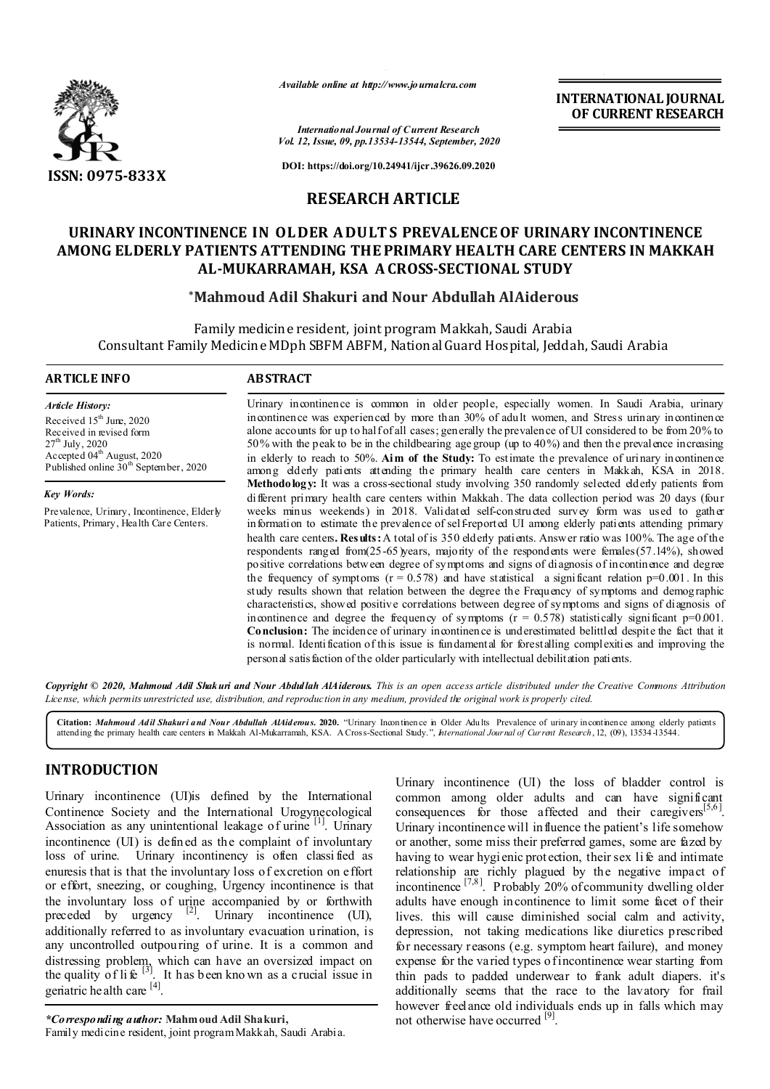

*Available online at http://www.journalcra.com*

**INTERNATIONAL JOURNAL OF CURRENT RESEARCH**

*International Journal of Current Research Vol. 12, Issue, 09, pp.13534-13544, September, 2020*

**DOI: https://doi.org/10.24941/ijcr.39626.09.2020**

# **RESEARCH ARTICLE**

# **URINARY INCONTINENCE IN OL DER A DULT S PREVALENCE OF URINARY INCONTINENCE AMONG ELDERLY PATIENTS ATTENDING THE PRIMARY HEALTH CARE CENTERS IN MAKKAH AL-MUKARRAMAH, KSA A CROSS-SECTIONAL STUDY**

# **\*Mahmoud Adil Shakuri and Nour Abdullah AlAiderous**

Family medicine resident, joint program Makkah, Saudi Arabia Consultant Family Medicine MDph SBFM ABFM, National Guard Hospital, Jeddah, Saudi Arabia

#### **ARTICLE INFO ABSTRACT**

*Article History:* Received 15<sup>th</sup> June, 2020 Received in revised form  $27^{\rm th}$  July, 2020 Accepted 04<sup>th</sup> August, 2020 Published online  $30<sup>th</sup>$  September, 2020

*Key Words:*

Prevalence, Urinary, Incontinence, Elderly Patients, Primary, Health Care Centers.

Urinary incontinence is common in older people, especially women. In Saudi Arabia, urinary incontinence was experienced by more than 30% of adult women, and Stress urinary incontinence alone accounts for up to half of all cases; generally the prevalence of UI considered to be from 20% to 50% with the peak to be in the childbearing age group (up to 40%) and then the prevalence increasing in elderly to reach to 50%. **Aim of the Study:** To estimate the prevalence of urinary incontinence among elderly patients attending the primary health care centers in Makkah, KSA in 2018. **Methodology:** It was a cross-sectional study involving 350 randomly selected elderly patients from different primary health care centers within Makkah. The data collection period was 20 days (four weeks minus weekends) in 2018. Validated self-constructed survey form was used to gather information to estimate the prevalence of self-reported UI among elderly patients attending primary health care centers**. Results:** A total of is 350 elderly patients. Answer ratio was 100%. The age of the respondents ranged from(25-65)years, majority of the respondents were females(57.14%), showed positive correlations between degree of symptoms and signs of diagnosis of incontinence and degree the frequency of symptoms ( $r = 0.578$ ) and have statistical a significant relation  $p=0.001$ . In this study results shown that relation between the degree the Frequency of symptoms and demographic characteristics, showed positive correlations between degree of symptoms and signs of diagnosis of incontinence and degree the frequency of symptoms  $(r = 0.578)$  statistically significant  $p=0.001$ . **Conclusion:** The incidence of urinary incontinence is underestimated belittled despite the fact that it is normal. Identification of this issue is fundamental for forestalling complexities and improving the personal satisfaction of the older particularly with intellectual debilitation patients.

Copyright © 2020, Mahmoud Adil Shakuri and Nour Abdullah AlAiderous. This is an open access article distributed under the Creative Commons Attribution License, which permits unrestricted use, distribution, and reproduction in any medium, provided the original work is properly cited.

Citation: Mahmoud Adil Shakuri and Nour Abdullah AlAiderous. 2020. "Urinary Incontinence in Older Adults Prevalence of urinary incontinence among elderly patients attend ing the primary health care centers in Makkah Al-Mukarramah, KSA. A Cross-Sectional Study.", *International Journal of Current Research*, 12, (09), 13534 -13544.

# **INTRODUCTION**

Urinary incontinence (UI)is defined by the International Continence Society and the International Urogynecological Association as any unintentional leakage of urine  $\left[1\right]$ . Urinary incontinence (UI) is defined as the complaint of involuntary loss of urine. Urinary incontinency is often classi fied as enuresis that is that the involuntary loss of excretion on effort or effort, sneezing, or coughing, Urgency incontinence is that the involuntary loss of urine accompanied by or forthwith preceded by urgency  $[2]$ . Urinary incontinence (UI), additionally referred to as involuntary evacuation urination, is any uncontrolled outpouring of urine. It is a common and distressing problem, which can have an oversized impact on the quality of life  $^{[3]}$ . It has been known as a crucial issue in geriatric health care [4].

*\*Corresponding author:* **Mahmoud Adil Shakuri,** Family medicine resident, joint program Makkah, Saudi Arabia. Urinary incontinence (UI) the loss of bladder control is common among older adults and can have significant consequences for those affected and their caregivers<sup>[5,6]</sup>. Urinary incontinence will influence the patient's life somehow or another, some miss their preferred games, some are fazed by having to wear hygi enic protection, their sex life and intimate relationship are richly plagued by the negative impact of incontinence  $\begin{bmatrix} 7,8 \end{bmatrix}$ . Probably 20% of community dwelling older adults have enough incontinence to limit some facet of their lives. this will cause diminished social calm and activity, depression, not taking medications like diuretics prescribed for necessary reasons (e.g. symptom heart failure), and money expense for the varied types of incontinence wear starting from thin pads to padded underwear to frank adult diapers. it's additionally seems that the race to the lavatory for frail however freelance old individuals ends up in falls which may not otherwise have occurred [9].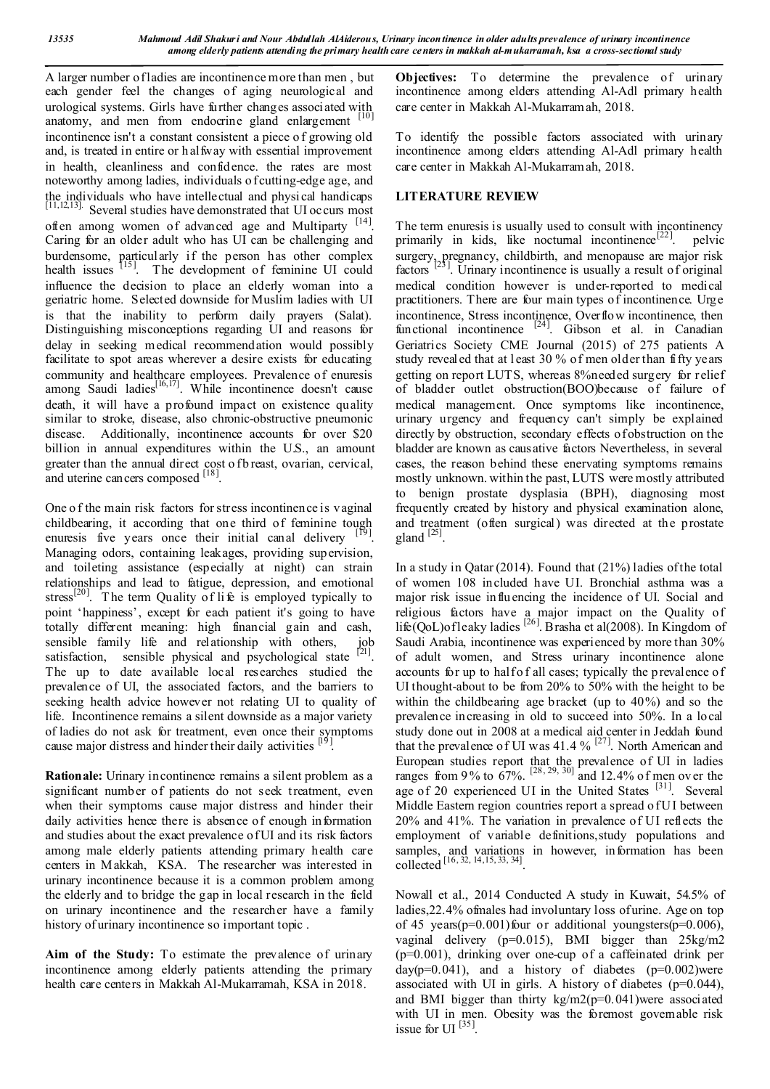A larger number of ladies are incontinence more than men , but each gender feel the changes of aging neurological and urological systems. Girls have further changes associated with anatomy, and men from endocrine gland enlargement [10] incontinence isn't a constant consistent a piece o f growing old and, is treated in entire or h alfway with essential improvement in health, cleanliness and confidence. the rates are most noteworthy among ladies, individuals o f cutting-edge age, and the individuals who have intellectual and physical handicaps<br><sup>[11,12,13]</sup>. Several studies have demonstrated that UI occurs most often among women of advanced age and Multiparty [14]. Caring for an older adult who has UI can be challenging and burdensome, particularly if the person has other complex health issues [15]. The development of feminine UI could influence the decision to place an elderly woman into a geriatric home. Selected downside for Muslim ladies with UI is that the inability to perform daily prayers (Salat). Distinguishing misconceptions regarding UI and reasons for delay in seeking medical recommendation would possibly facilitate to spot areas wherever a desire exists for educating community and healthcare employees. Prevalence of enuresis among Saudi ladies<sup>[16,17]</sup>. While incontinence doesn't cause death, it will have a profound impact on existence quality similar to stroke, disease, also chronic-obstructive pneumonic disease. Additionally, incontinence accounts for over \$20 billion in annual expenditures within the U.S., an amount greater than the annual direct cost of b reast, ovarian, cervical, and uterine cancers composed  $^{[18]}$ .

One o f the main risk factors for stress incontinence is vaginal childbearing, it according that one third of feminine tough enuresis five years once their initial canal delivery Managing odors, containing leakages, providing supervision, and toileting assistance (especially at night) can strain relationships and lead to fatigue, depression, and emotional stress<sup>[20]</sup>. The term Quality of life is employed typically to point 'happiness', except for each patient it's going to have totally different meaning: high financial gain and cash, sensible family life and relationship with others, satisfaction, sensible physical and psychological state  $[21]$ . The up to date available local researches studied the prevalence of UI, the associated factors, and the barriers to seeking health advice however not relating UI to quality of life. Incontinence remains a silent downside as a major variety of ladies do not ask for treatment, even once their symptoms cause major distress and hinder their daily activities <sup>[19]</sup>.

**Rationale:** Urinary incontinence remains a silent problem as a significant number of patients do not seek treatment, even when their symptoms cause major distress and hinder their daily activities hence there is absence of enough information and studies about the exact prevalence of UI and its risk factors among male elderly patients attending primary health care centers in Makkah, KSA. The researcher was interested in urinary incontinence because it is a common problem among the elderly and to bridge the gap in local research in the field on urinary incontinence and the researcher have a family history of urinary incontinence so important topic .

**Aim of the Study:** To estimate the prevalence of urinary incontinence among elderly patients attending the primary health care centers in Makkah Al-Mukarramah, KSA in 2018.

**Objectives:** To determine the prevalence of urinary incontinence among elders attending Al-Adl primary health care center in Makkah Al-Mukarramah, 2018.

To identify the possible factors associated with urinary incontinence among elders attending Al-Adl primary health care center in Makkah Al-Mukarramah, 2018.

## **LITERATURE REVIEW**

The term enuresis is usually used to consult with incontinency primarily in kids, like nocturnal incontinence<sup>[22]</sup>. pelvic surgery, pregnancy, childbirth, and menopause are major risk factors  $[23]$ . Urinary incontinence is usually a result of original medical condition however is under-reported to medical practitioners. There are four main types of incontinence. Urge incontinence, Stress incontinence, Overflow incontinence, then functional incontinence  $[24]$ . Gibson et al. in Canadian Geriatrics Society CME Journal (2015) of 275 patients A study revealed that at l east 30 % of men older than fifty years getting on report LUTS, whereas 8%needed surgery for relief of bladder outlet obstruction(BOO)because of failure of medical management. Once symptoms like incontinence, urinary urgency and frequency can't simply be explained directly by obstruction, secondary effects of obstruction on the bladder are known as causative factors Nevertheless, in several cases, the reason behind these enervating symptoms remains mostly unknown. within the past, LUTS were mostly attributed to benign prostate dysplasia (BPH), diagnosing most frequently created by history and physical examination alone, and treatment (often surgical) was directed at the prostate  $g$ land  $^{[25]}$ 

In a study in Qatar (2014). Found that (21%) ladies of the total of women 108 included have UI. Bronchial asthma was a major risk issue influencing the incidence of UI. Social and religious factors have a major impact on the Quality of life(QoL)of leaky ladies [26]. Brasha et al(2008). In Kingdom of Saudi Arabia, incontinence was experienced by more than 30% of adult women, and Stress urinary incontinence alone accounts for up to half of all cases; typically the prevalence of UI thought-about to be from 20% to 50% with the height to be within the childbearing age bracket (up to 40%) and so the prevalence increasing in old to succeed into 50%. In a local study done out in 2008 at a medical aid center in Jeddah found that the prevalence of UI was 41.4 % [27]. North American and European studies report that the prevalence of UI in ladies ranges from 9% to  $67\%$ .  $^{[28, 29, 30]}$  and 12.4% of men over the age of 20 experienced UI in the United States <sup>[31]</sup>. Several Middle Eastern region countries report a spread of UI between 20% and 41%. The variation in prevalence of UI reflects the employment of variable definitions,study populations and samples, and variations in however, information has been collected  $^{[16, 32, 14, 15, 33, 34]}$ .

Nowall et al., 2014 Conducted A study in Kuwait, 54.5% of ladies,22.4% ofmales had involuntary loss of urine. Age on top of 45 years( $p=0.001$ ) four or additional youngsters( $p=0.006$ ), vaginal delivery (p=0.015), BMI bigger than 25kg/m2 (p=0.001), drinking over one-cup of a caffeinated drink per day( $p=0.041$ ), and a history of diabetes ( $p=0.002$ )were associated with UI in girls. A history of diabetes (p=0.044), and BMI bigger than thirty kg/m2(p=0.041)were associated with UI in men. Obesity was the foremost governable risk issue for UI $^{[35]}$ .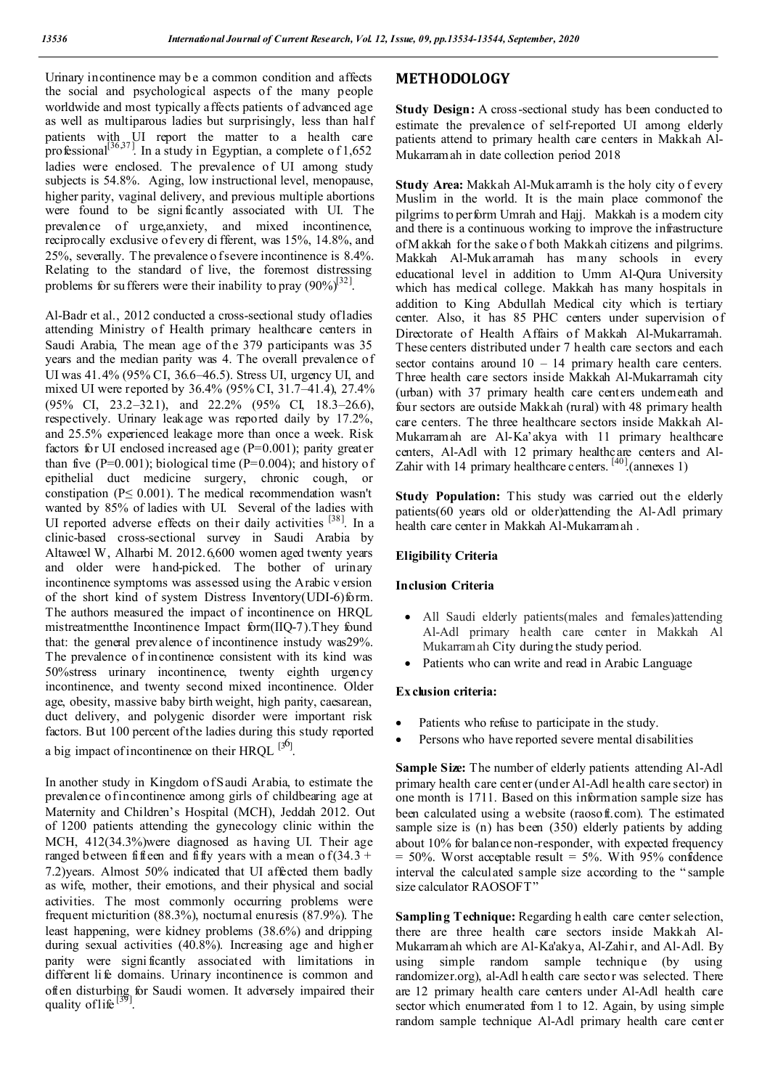Urinary incontinence may b e a common condition and affects the social and psychological aspects of the many people worldwide and most typically affects patients of advanced age as well as multiparous ladies but surprisingly, less than half patients with UI report the matter to a health care professional<sup>[36,37]</sup>. In a study in Egyptian, a complete of 1,652 ladies were enclosed. The prevalence of UI among study subjects is 54.8%. Aging, low instructional level, menopause, higher parity, vaginal delivery, and previous multiple abortions were found to be signi ficantly associated with UI. The prevalence of urge,anxiety, and mixed incontinence, reciprocally exclusive of every di fferent, was 15%, 14.8%, and 25%, severally. The prevalence o f severe incontinence is 8.4%. Relating to the standard of live, the foremost distressing problems for su fferers were their inability to pray  $(90\%)^{32}$ .

Al-Badr et al., 2012 conducted a cross-sectional study of ladies attending Ministry of Health primary healthcare centers in Saudi Arabia, The mean age of the 379 participants was 35 years and the median parity was 4. The overall prevalence of UI was 41.4% (95% CI, 36.6–46.5). Stress UI, urgency UI, and mixed UI were reported by 36.4% (95% CI, 31.7–41.4), 27.4% (95% CI, 23.2–32.1), and 22.2% (95% CI, 18.3–26.6), respectively. Urinary leakage was reported daily by 17.2%, and 25.5% experienced leakage more than once a week. Risk factors for UI enclosed increased age  $(P=0.001)$ ; parity greater than five  $(P=0.001)$ ; biological time  $(P=0.004)$ ; and history of epithelial duct medicine surgery, chronic cough, or constipation (P≤ 0.001). T he medical recommendation wasn't wanted by 85% of ladies with UI. Several of the ladies with UI reported adverse effects on their daily activities  $[38]$ . In a clinic-based cross-sectional survey in Saudi Arabia by Altaweel W, Alharbi M. 2012.6,600 women aged twenty years and older were hand-picked. The bother of urinary incontinence symptoms was assessed using the Arabic v ersion of the short kind of system Distress Inventory(UDI-6)form. The authors measured the impact of incontinence on HRQL mistreatmentthe Incontinence Impact form(IIQ-7).They found that: the general prevalence of incontinence instudy was29%. The prevalence of incontinence consistent with its kind was 50%stress urinary incontinence, twenty eighth urgency incontinence, and twenty second mixed incontinence. Older age, obesity, massive baby birth weight, high parity, caesarean, duct delivery, and polygenic disorder were important risk factors. But 100 percent of the ladies during this study reported a big impact of incontinence on their  $HRQL$ <sup>[36]</sup>.

In another study in Kingdom of Saudi Arabia, to estimate the prevalence of incontinence among girls of childbearing age at Maternity and Children's Hospital (MCH), Jeddah 2012. Out of 1200 patients attending the gynecology clinic within the MCH, 412(34.3%)were diagnosed as having UI. Their age ranged between fifteen and fifty years with a mean of  $(34.3 +$ 7.2)years. Almost 50% indicated that UI affected them badly as wife, mother, their emotions, and their physical and social activities. The most commonly occurring problems were frequent micturition (88.3%), nocturnal enuresis (87.9%). The least happening, were kidney problems (38.6%) and dripping during sexual activities (40.8%). Increasing age and higher parity were signi ficantly associated with limitations in different li fe domains. Urinary incontinence is common and often disturbing for Saudi women. It adversely impaired their quality of life<sup>[39]</sup>

# **METHODOLOGY**

**Study Design:** A cross-sectional study has been conducted to estimate the prevalence of self-reported UI among elderly patients attend to primary health care centers in Makkah Al-Mukarramah in date collection period 2018

**Study Area:** Makkah Al-Mukarramh is the holy city o f every Muslim in the world. It is the main place commonof the pilgrims to perform Umrah and Hajj. Makkah is a modern city and there is a continuous working to improve the infrastructure of M akkah for the sake o f both Makkah citizens and pilgrims. Makkah Al-Mukarramah has many schools in every educational level in addition to Umm Al-Qura University which has medical college. Makkah has many hospitals in addition to King Abdullah Medical city which is tertiary center. Also, it has 85 PHC centers under supervision of Directorate of Health Affairs of Makkah Al-Mukarramah. These centers distributed under 7 health care sectors and each sector contains around  $10 - 14$  primary health care centers. Three health care sectors inside Makkah Al-Mukarramah city (urban) with 37 primary health care centers underneath and four sectors are outside Makkah (rural) with 48 primary health care centers. The three healthcare sectors inside Makkah Al-Mukarramah are Al-Ka'akya with 11 primary healthcare centers, Al-Adl with 12 primary healthcare centers and Al-Zahir with 14 primary healthcare centers. [40] (annexes 1)

**Study Population:** This study was carried out the elderly patients(60 years old or older)attending the Al-Adl primary health care center in Makkah Al-Mukarramah .

## **Eligibility Criteria**

## **Inclusion Criteria**

- All Saudi elderly patients(males and females)attending Al-Adl primary health care center in Makkah Al Mukarramah City during the study period.
- Patients who can write and read in Arabic Language

#### **Ex clusion criteria:**

- Patients who refuse to participate in the study.
- Persons who have reported severe mental disabilities

**Sample Size:** The number of elderly patients attending Al-Adl primary health care center (under Al-Adl health care sector) in one month is 1711. Based on this information sample size has been calculated using a website (raosoft.com). The estimated sample size is (n) has been (350) elderly patients by adding about 10% for balance non-responder, with expected frequency  $= 50\%$ . Worst acceptable result  $= 5\%$ . With 95% confidence interval the calculated sample size according to the " sample size calculator RAOSOFT"

**Sampling Technique:** Regarding h ealth care center selection, there are three health care sectors inside Makkah Al-Mukarramah which are Al-Ka'akya, Al-Zahir, and Al-Adl. By using simple random sample technique (by using randomizer.org), al-Adl h ealth care sector was selected. There are 12 primary health care centers under Al-Adl health care sector which enumerated from 1 to 12. Again, by using simple random sample technique Al-Adl primary health care center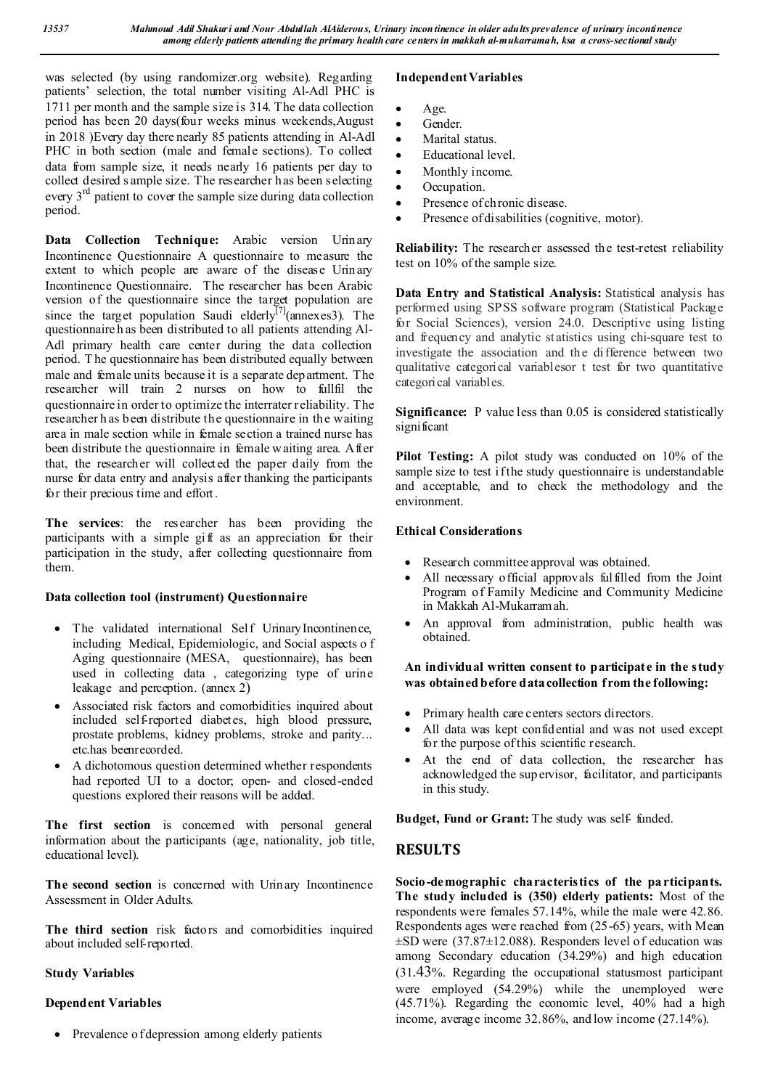was selected (by using randomizer.org website). Regarding patients' selection, the total number visiting Al-Adl PHC is 1711 per month and the sample size is 314. The data collection period has been 20 days(four weeks minus weekends,August in 2018 )Every day there nearly 85 patients attending in Al-Adl PHC in both section (male and female sections). To collect data from sample size, it needs nearly 16 patients per day to collect desired s ample size. The researcher has been selecting every  $3<sup>rd</sup>$  patient to cover the sample size during data collection period.

**Data Collection Technique:** Arabic version Urinary Incontinence Questionnaire A questionnaire to measure the extent to which people are aware of the disease Urinary Incontinence Questionnaire. The researcher has been Arabic version of the questionnaire since the target population are since the target population Saudi elderly<sup>[7]</sup>(annexes3). The questionnaire h as been distributed to all patients attending Al-Adl primary health care center during the data collection period. T he questionnaire has been distributed equally between male and female units because it is a separate department. The researcher will train 2 nurses on how to fullfil the questionnaire in order to optimize the interrater reliability. The researcher h as been distribute the questionnaire in the waiting area in male section while in female section a trained nurse has been distribute the questionnaire in female waiting area. After that, the researcher will collected the paper daily from the nurse for data entry and analysis after thanking the participants for their precious time and effort.

**The services**: the researcher has been providing the participants with a simple gift as an appreciation for their participation in the study, after collecting questionnaire from them.

## **Data collection tool (instrument) Questionnaire**

- The validated international Self UrinaryIncontinence, including Medical, Epidemiologic, and Social aspects o f Aging questionnaire (MESA, questionnaire), has been used in collecting data , categorizing type of urine leakage and perception. (annex 2)
- Associated risk factors and comorbidities inquired about included self-reported diabetes, high blood pressure, prostate problems, kidney problems, stroke and parity... etc.has beenrecorded.
- A dichotomous question determined whether respondents had reported UI to a doctor; open- and closed-ended questions explored their reasons will be added.

The first section is concerned with personal general information about the participants (age, nationality, job title, educational level).

**The second section** is concerned with Urinary Incontinence Assessment in Older Adults.

**The third section** risk factors and comorbidities inquired about included self-reported.

## **Study Variables**

## **Dependent Variables**

• Prevalence o f depression among elderly patients

# **Independent Variables**

- Age.
- Gender.
- Marital status.
- Educational level.
- Monthly income.
- Occupation.
- Presence of chronic disease.
- Presence of disabilities (cognitive, motor).

**Reliability:** The researcher assessed the test-retest reliability test on 10% of the sample size.

**Data Entry and Statistical Analysis:** Statistical analysis has performed using SPSS software program (Statistical Package for Social Sciences), version 24.0. Descriptive using listing and frequency and analytic st atistics using chi-square test to investigate the association and the difference between two qualitative categorical variablesor t test for two quantitative categorical variables.

**Significance:** P value less than 0.05 is considered statistically significant

**Pilot Testing:** A pilot study was conducted on 10% of the sample size to test if the study questionnaire is understandable and acceptable, and to check the methodology and the environment.

## **Ethical Considerations**

- Research committee approval was obtained.
- All necessary official approvals fulfilled from the Joint Program of Family Medicine and Community Medicine in Makkah Al-Mukarramah.
- An approval from administration, public health was obtained.

## **An individual written consent to participate in the study was obtained before data collection from the following:**

- Primary health care centers sectors directors.
- All data was kept confidential and was not used except for the purpose of this scientific research.
- At the end of data collection, the researcher has acknowledged the sup ervisor, facilitator, and participants in this study.

Budget, Fund or Grant: The study was self- funded.

# **RESULTS**

**Socio-demographic characteristics of the pa rticipants. The study included is (350) elderly patients:** Most of the respondents were females 57.14%, while the male were 42.86. Respondents ages were reached from (25-65) years, with Mean  $\pm$ SD were (37.87 $\pm$ 12.088). Responders level of education was among Secondary education (34.29%) and high education (31.43%. Regarding the occupational statusmost participant were employed (54.29%) while the unemployed were (45.71%). Regarding the economic level, 40% had a high income, average income 32.86%, and low income (27.14%).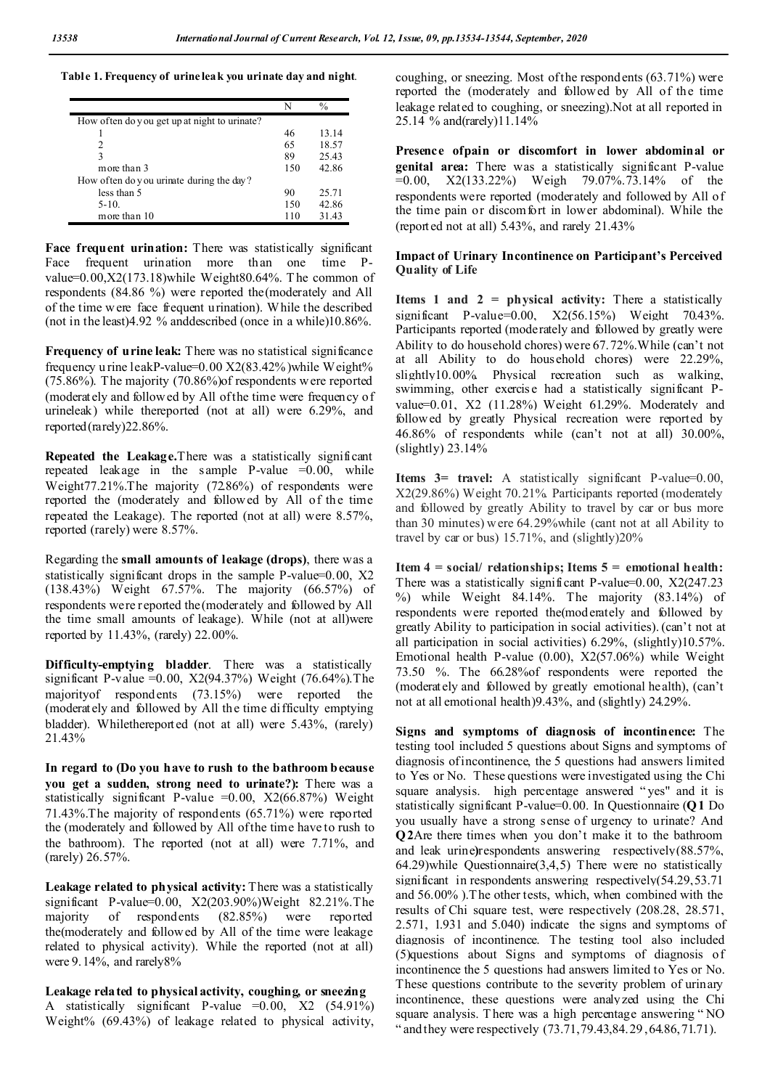**Table 1. Frequency of urine leak you urinate day and night**.

|                                              | N   | $\frac{0}{0}$ |
|----------------------------------------------|-----|---------------|
| How often do you get up at night to urinate? |     |               |
|                                              | 46  | 13.14         |
|                                              | 65  | 18.57         |
| ٩                                            | 89  | 25.43         |
| more than 3                                  | 150 | 42.86         |
| How often do you urinate during the day?     |     |               |
| less than 5                                  | 90  | 25.71         |
| $5-10.$                                      | 150 | 42.86         |
| more than 10                                 | 110 | 31.43         |

Face frequent urination: There was statistically significant Face frequent urination more than one time Pvalue=0.00,X2(173.18)while Weight80.64%. T he common of respondents (84.86 %) were reported the(moderately and All of the time w ere face frequent urination). While the described (not in the least)4.92 % anddescribed (once in a while)10.86%.

**Frequency of urine leak:** There was no statistical significance frequency u rine leakP-value=0.00 X2(83.42%)while Weight% (75.86%). The majority (70.86%)of respondents were reported (moderately and followed by All of the time were frequency of urineleak) while thereported (not at all) were 6.29%, and reported(rarely)22.86%.

**Repeated the Leakage.**There was a statistically significant repeated leakage in the sample P-value  $=0.00$ , while Weight77.21%.The majority (72.86%) of respondents were reported the (moderately and followed by All of the time repeated the Leakage). The reported (not at all) were 8.57%, reported (rarely) were 8.57%.

Regarding the **small amounts of leakage (drops)**, there was a statistically significant drops in the sample P-value=0.00, X2 (138.43%) Weight 67.57%. The majority (66.57%) of respondents were reported the(moderately and followed by All the time small amounts of leakage). While (not at all)were reported by 11.43%, (rarely) 22.00%.

**Difficulty-emptying bladder**. There was a statistically significant P-value =  $0.00$ , X2(94.37%) Weight (76.64%). The majorityof respondents (73.15%) were reported the (moderately and followed by All the time difficulty emptying bladder). Whilethereported (not at all) were 5.43%, (rarely) 21.43%

**In regard to (Do you have to rush to the bathroom because you get a sudden, strong need to urinate?):** There was a statistically significant P-value  $=0.00$ ,  $X2(66.87%)$  Weight 71.43%.The majority of respondents (65.71%) were reported the (moderately and followed by All of the time have to rush to the bathroom). The reported (not at all) were 7.71%, and (rarely) 26.57%.

Leakage related to physical activity: There was a statistically significant P-value=0.00, X2(203.90%)Weight 82.21%.The majority of respondents (82.85%) were reported the(moderately and followed by All of the time were leakage related to physical activity). While the reported (not at all) were 9.14%, and rarely8%

**Leakage related to physical activity, coughing, or sneezing** A statistically significant P-value  $=0.00$ , X2 (54.91%) Weight% (69.43%) of leakage related to physical activity,

coughing, or sneezing. Most of the respondents (63.71%) were reported the (moderately and followed by All of the time leakage related to coughing, or sneezing).Not at all reported in 25.14 % and(rarely)11.14%

**Presence ofpain or discomfort in lower abdominal or genital area:** There was a statistically significant P-value  $=0.00$ , X2(133.22%) Weigh 79.07%.73.14% of the respondents were reported (moderately and followed by All of the time pain or discomfort in lower abdominal). While the (reported not at all) 5.43%, and rarely 21.43%

## **Impact of Urinary Incontinence on Participant's Perceived Quality of Life**

**Items 1 and 2 = physical activity:** There a statistically significant P-value=0.00, X2(56.15%) Weight 70.43%. Participants reported (moderately and followed by greatly were Ability to do household chores) were 67.72%.While (can't not at all Ability to do household chores) were 22.29%, slightly10.00%. Physical recreation such as walking, swimming, other exercise had a statistically significant Pvalue=0.01, X2 (11.28%) Weight 61.29%. Moderately and followed by greatly Physical recreation were reported by 46.86% of respondents while (can't not at all) 30.00%,  $(slightly)$  23.14%

**Items 3= travel:** A statistically significant P-value=0.00, X2(29.86%) Weight 70.21%. Participants reported (moderately and followed by greatly Ability to travel by car or bus more than 30 minutes) w ere 64.29%while (cant not at all Ability to travel by car or bus) 15.71%, and (slightly)20%

**Item 4 = social/ relationships; Items 5 = emotional health:**  There was a statistically significant P-value= $0.00$ ,  $X2(247.23)$ %) while Weight 84.14%. The majority (83.14%) of respondents were reported the(moderately and followed by greatly Ability to participation in social activities). (can't not at all participation in social activities) 6.29%, (slightly)10.57%. Emotional health P-value (0.00), X2(57.06%) while Weight 73.50 %. The 66.28%of respondents were reported the (moderately and followed by greatly emotional health), (can't not at all emotional health)9.43%, and (slightly) 24.29%.

**Signs and symptoms of diagnosis of incontinence:** The testing tool included 5 questions about Signs and symptoms of diagnosis of incontinence, the 5 questions had answers limited to Yes or No. These questions were investigated using the Chi square analysis. high percentage answered " yes" and it is statistically significant P-value=0.00. In Questionnaire (**Q1** Do you usually have a strong sense of urgency to urinate? And **Q2**Are there times when you don't make it to the bathroom and leak urine**)**respondents answering respectively(88.57%, 64.29)while Questionnaire(3,4,5) There were no statistically significant in respondents answering respectively(54.29,53.71) and 56.00% ).The other tests, which, when combined with the results of Chi square test, were respectively (208.28, 28.571, 2.571, 1.931 and 5.040) indicate the signs and symptoms of diagnosis of incontinence. The testing tool also included (5)questions about Signs and symptoms of diagnosis of incontinence the 5 questions had answers limited to Yes or No. These questions contribute to the severity problem of urinary incontinence, these questions were analyzed using the Chi square analysis. T here was a high percentage answering " NO " and they were respectively (73.71, 79.43, 84.29, 64.86, 71.71).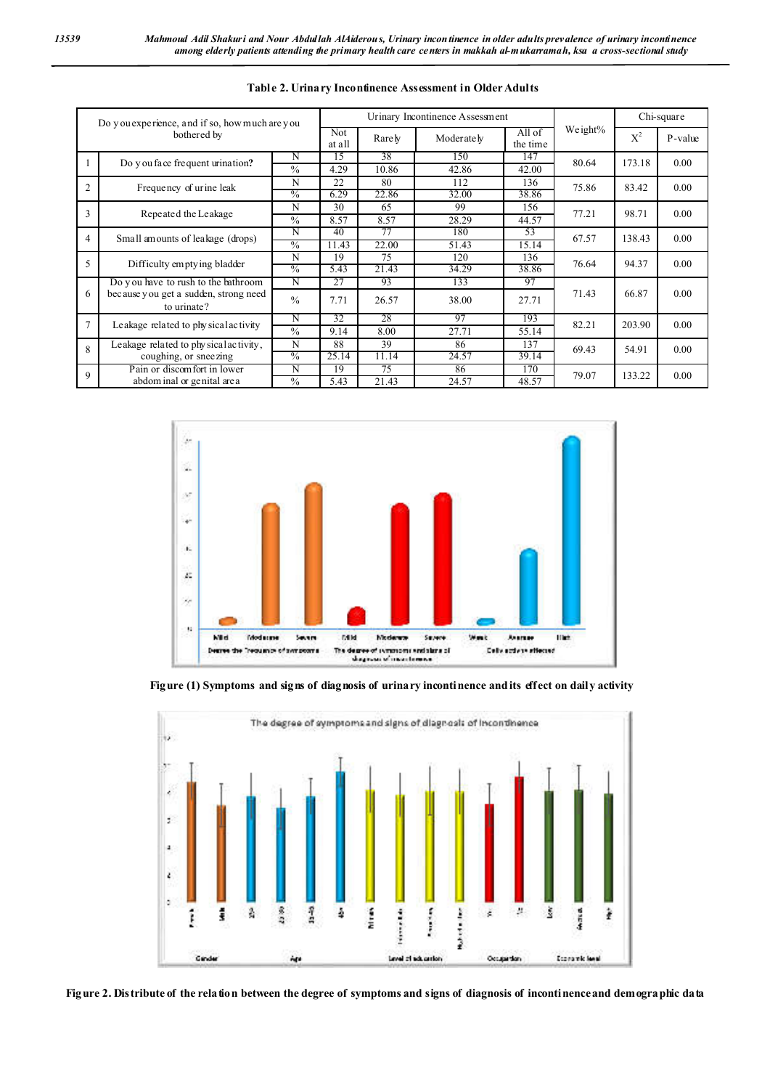| Do you experience, and if so, how much are you<br>bothered by |                                                                                             |               |               | Urinary Incontinence Assessment |                    | Chi-square |       |         |      |
|---------------------------------------------------------------|---------------------------------------------------------------------------------------------|---------------|---------------|---------------------------------|--------------------|------------|-------|---------|------|
|                                                               |                                                                                             | Not<br>at all | Rare <i>y</i> | Moderately                      | All of<br>the time | Weight%    | $X^2$ | P-value |      |
|                                                               | Do y ou face frequent urination?                                                            | N             | 15            | 38                              | 150                | 147        | 80.64 | 173.18  | 0.00 |
|                                                               |                                                                                             | $\frac{0}{0}$ | 4.29          | 10.86                           | 42.86              | 42.00      |       |         |      |
| $\overline{2}$                                                | Frequency of urine leak                                                                     | N             | 22            | 80                              | 112                | 136        | 75.86 | 83.42   | 0.00 |
|                                                               |                                                                                             | $\frac{0}{0}$ | 6.29          | 22.86                           | 32.00              | 38.86      |       |         |      |
| 3                                                             | Repeated the Leakage                                                                        | N             | 30            | 65                              | 99                 | 156        | 77.21 | 98.71   | 0.00 |
|                                                               |                                                                                             | $\frac{0}{0}$ | 8.57          | 8.57                            | 28.29              | 44.57      |       |         |      |
| $\overline{4}$                                                | Small amounts of leakage (drops)                                                            | N             | 40            | 77                              | 180                | 53         | 67.57 | 138.43  | 0.00 |
|                                                               |                                                                                             | $\frac{0}{0}$ | 11.43         | 22.00                           | 51.43              | 15.14      |       |         |      |
|                                                               | Difficulty emptying bladder                                                                 | N             | 19            | 75                              | 120                | 136        | 76.64 | 94.37   | 0.00 |
| 5                                                             |                                                                                             | $\frac{0}{0}$ | 5.43          | 21.43                           | 34.29              | 38.86      |       |         |      |
|                                                               | Do you have to rush to the bathroom<br>because you get a sudden, strong need<br>to urinate? | N             | 27            | 93                              | 133                | 97         | 71.43 | 66.87   | 0.00 |
| 6                                                             |                                                                                             | $\frac{0}{0}$ | 7.71          | 26.57                           | 38.00              | 27.71      |       |         |      |
| $\overline{7}$                                                | Leakage related to physical activity                                                        | N             | 32            | 28                              | 97                 | 193        | 82.21 | 203.90  | 0.00 |
|                                                               |                                                                                             | $\frac{0}{0}$ | 9.14          | 8.00                            | 27.71              | 55.14      |       |         |      |
| $\mathbf{8}$                                                  | Leakage related to physical activity,<br>coughing, or sneezing                              | N             | 88            | 39                              | 86                 | 137        | 69.43 | 54.91   | 0.00 |
|                                                               |                                                                                             | $\frac{0}{0}$ | 25.14         | 11.14                           | 24.57              | 39.14      |       |         |      |
| 9                                                             | Pain or discom fort in lower                                                                | N             | 19            | 75                              | 86                 | 170        | 79.07 | 133.22  | 0.00 |
|                                                               | abdom inal or genital area                                                                  | $\%$          | 5.43          | 21.43                           | 24.57              | 48.57      |       |         |      |

## **Table 2. Urinary Incontinence Assessment in Older Adults**







**Figure 2. Distribute of the relation between the degree of symptoms and signs of diagnosis of incontinenceand demographic data**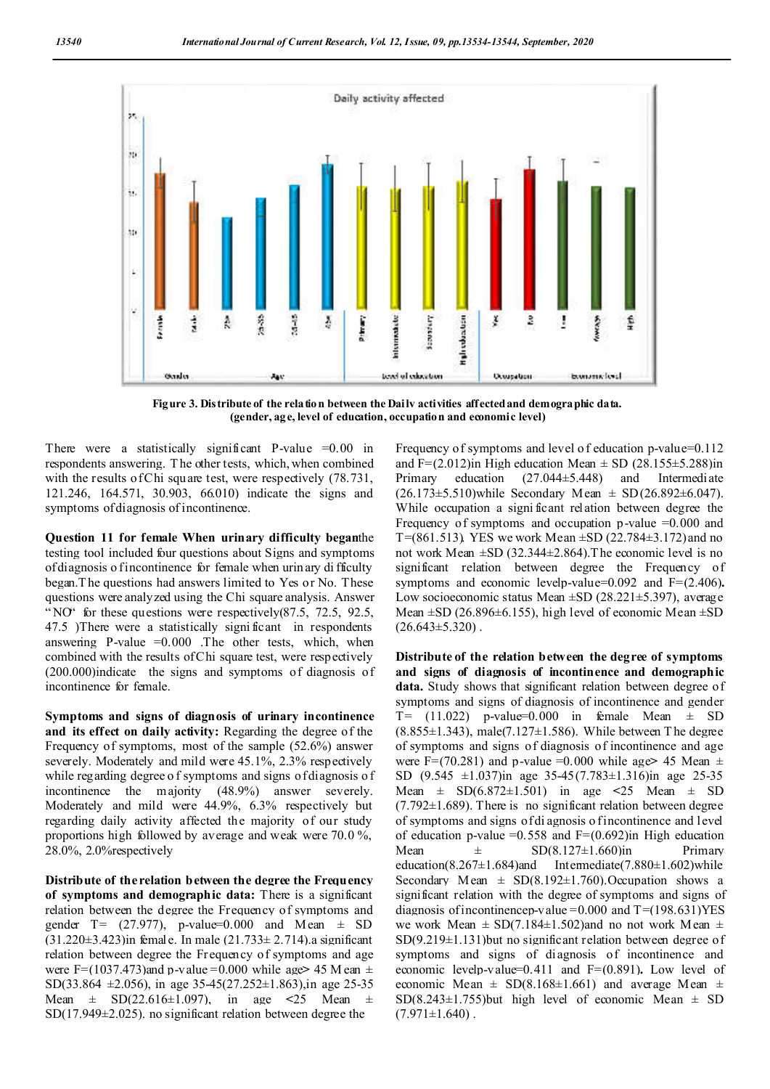

Figure 3. Distribute of the relation between the Daily activities affected and demographic data. **(gender, age, level of education, occupation and economic level)**

There were a statistically significant P-value  $=0.00$  in respondents answering. T he other tests, which, when combined with the results of Chi square test, were respectively (78.731, 121.246, 164.571, 30.903, 66.010) indicate the signs and symptoms of diagnosis of incontinence.

**Question 11 for female When urinary difficulty began**the testing tool included four questions about Signs and symptoms of diagnosis o fincontinence for female when urin ary di fficulty began.T he questions had answers limited to Yes or No. These questions were analyzed using the Chi square analysis. Answer "NO" for these questions were respectively(87.5, 72.5, 92.5, 47.5 )There were a statistically signi ficant in respondents answering P-value  $=0.000$  . The other tests, which, when combined with the results of Chi square test, were respectively (200.000)indicate the signs and symptoms of diagnosis of incontinence for female.

**Symptoms and signs of diagnosis of urinary incontinence and its effect on daily activity:** Regarding the degree of the Frequency of symptoms, most of the sample (52.6%) answer severely. Moderately and mild were 45.1%, 2.3% respectively while regarding degree of symptoms and signs of diagnosis of incontinence the majority (48.9%) answer severely. Moderately and mild were 44.9%, 6.3% respectively but regarding daily activity affected the majority of our study proportions high followed by average and weak were 70.0 %, 28.0%, 2.0%respectively

**Distribute of the relation between the degree the Frequency of symptoms and demographic data:** There is a significant relation between the degree the Frequency of symptoms and gender T=  $(27.977)$ , p-value=0.000 and Mean  $\pm$  SD  $(31.220\pm3.423)$ in female. In male  $(21.733\pm2.714)$ .a significant relation between degree the Frequency of symptoms and age were F= $(1037.473)$ and p-value =0.000 while age > 45 M ean  $\pm$ SD(33.864  $\pm$ 2.056), in age 35-45(27.252 $\pm$ 1.863), in age 25-35 Mean ± SD(22.616±1.097), in age **<**25 Mean ± SD(17.949±2.025). no significant relation between degree the

Frequency of symptoms and level of education p-value=0.112 and F= $(2.012)$ in High education Mean  $\pm$  SD  $(28.155\pm5.288)$ in Primary education (27.044±5.448) and Intermediate  $(26.173\pm5.510)$ while Secondary Mean  $\pm$  SD(26.892 $\pm$ 6.047). While occupation a significant relation between degree the Frequency of symptoms and occupation p-value  $=0.000$  and T=(861.513). YES we work Mean  $\pm$ SD (22.784 $\pm$ 3.172) and no not work Mean ±SD (32.344±2.864).The economic level is no significant relation between degree the Frequency of symptoms and economic levelp-value=0.092 and F=(2.406)**.**  Low socioeconomic status Mean  $\pm$ SD (28.221 $\pm$ 5.397), average Mean  $\pm$ SD (26.896 $\pm$ 6.155), high level of economic Mean  $\pm$ SD  $(26.643\pm5.320)$ .

**Distribute of the relation between the degree of symptoms and signs of diagnosis of incontinence and demographic data.** Study shows that significant relation between degree of symptoms and signs of diagnosis of incontinence and gender  $T=$  (11.022) p-value=0.000 in female Mean  $\pm$  SD  $(8.855\pm1.343)$ , male $(7.127\pm1.586)$ . While between T he degree of symptoms and signs of diagnosis of incontinence and age were F=(70.281) and p-value =0.000 while age  $\geq$  45 Mean  $\pm$ SD (9.545 ±1.037)in age 35-45(7.783±1.316)in age 25-35 Mean ± SD(6.872±1.501) in age **<**25 Mean ± SD  $(7.792\pm1.689)$ . There is no significant relation between degree of symptoms and signs of di agnosis o f incontinence and level of education p-value =  $0.558$  and F= $(0.692)$ in High education Mean  $\pm$  SD(8.127 $\pm$ 1.660)in Primary education(8.267 $\pm$ 1.684)and Intermediate(7.880 $\pm$ 1.602)while Secondary Mean  $\pm$  SD(8.192 $\pm$ 1.760). Occupation shows a significant relation with the degree of symptoms and signs of diagnosis of incontinencep-value =  $0.000$  and T = (198.631)YES we work Mean  $\pm$  SD(7.184 $\pm$ 1.502)and no not work Mean  $\pm$ SD(9.219±1.131)but no significant relation between degree of symptoms and signs of diagnosis of incontinence and economic levelp-value=0.411 and F=(0.891)**.** Low level of economic Mean  $\pm$  SD(8.168 $\pm$ 1.661) and average Mean  $\pm$  $SD(8.243 \pm 1.755)$  but high level of economic Mean  $\pm$  SD  $(7.971 \pm 1.640)$ .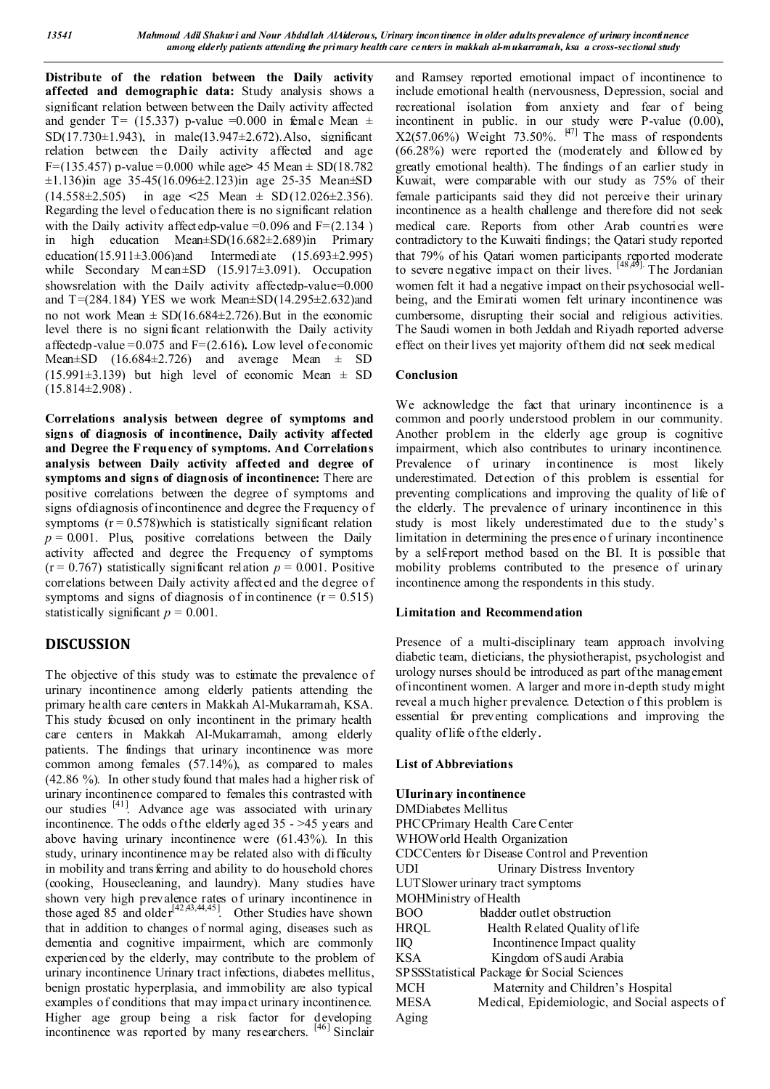**Distribute of the relation between the Daily activity affected and demographic data:** Study analysis shows a significant relation between between the Daily activity affected and gender T= (15.337) p-value =0.000 in female Mean  $\pm$ SD(17.730±1.943), in male(13.947±2.672).Also, significant relation between the Daily activity affected and age F=(135.457) p-value =0.000 while age**>** 45 Mean ± SD(18.782  $\pm$ 1.136)in age 35-45(16.096 $\pm$ 2.123)in age 25-35 Mean $\pm$ SD (14.558±2.505) in age **<**25 Mean ± SD(12.026±2.356). Regarding the level of education there is no significant relation with the Daily activity affected p-value =  $0.096$  and F= $(2.134)$ in high education Mean±SD(16.682±2.689)in Primary education(15.911 $\pm$ 3.006)and Intermediate (15.693 $\pm$ 2.995) while Secondary Mean±SD (15.917±3.091). Occupation showsrelation with the Daily activity affectedp-value=0.000 and T= $(284.184)$  YES we work Mean $\pm$ SD $(14.295\pm2.632)$ and no not work Mean  $\pm$  SD(16.684 $\pm$ 2.726). But in the economic level there is no signi ficant relationwith the Daily activity affectedp-value =0.075 and F=(2.616)**.** Low level of economic Mean $\pm$ SD (16.684 $\pm$ 2.726) and average Mean  $\pm$  SD (15.991 $\pm$ 3.139) but high level of economic Mean  $\pm$  SD  $(15.814\pm2.908)$ .

**Correlations analysis between degree of symptoms and signs of diagnosis of incontinence, Daily activity affected and Degree the Frequency of symptoms. And Correlations analysis between Daily activity affected and degree of symptoms and signs of diagnosis of incontinence:** There are positive correlations between the degree of symptoms and signs of diagnosis of incontinence and degree the Frequency of symptoms  $(r = 0.578)$  which is statistically significant relation  $p = 0.001$ . Plus, positive correlations between the Daily activity affected and degree the Frequency of symptoms  $(r = 0.767)$  statistically significant relation  $p = 0.001$ . Positive correlations between Daily activity affected and the degree of symptoms and signs of diagnosis of incontinence  $(r = 0.515)$ statistically significant  $p = 0.001$ .

# **DISCUSSION**

The objective of this study was to estimate the prevalence of urinary incontinence among elderly patients attending the primary health care centers in Makkah Al-Mukarramah, KSA. This study focused on only incontinent in the primary health care centers in Makkah Al-Mukarramah, among elderly patients. The findings that urinary incontinence was more common among females (57.14%), as compared to males (42.86 %). In other study found that males had a higher risk of urinary incontinence compared to females this contrasted with our studies [41]. Advance age was associated with urinary incontinence. The odds of the elderly aged 35 - >45 years and above having urinary incontinence were (61.43%). In this study, urinary incontinence m ay be related also with difficulty in mobility and transferring and ability to do household chores (cooking, Housecleaning, and laundry). Many studies have shown very high prevalence rates of urinary incontinence in those aged 85 and older<sup>[42,43,44,45]</sup>. Other Studies have shown that in addition to changes of normal aging, diseases such as dementia and cognitive impairment, which are commonly experienced by the elderly, may contribute to the problem of urinary incontinence Urinary tract infections, diabetes mellitus, benign prostatic hyperplasia, and immobility are also typical examples of conditions that may impact urinary incontinence. Higher age group being a risk factor for developing incontinence was reported by many researchers. [46] Sinclair

and Ramsey reported emotional impact of incontinence to include emotional health (nervousness, Depression, social and recreational isolation from anxiety and fear of being incontinent in public. in our study were P-value (0.00),  $X2(57.06\%)$  Weight 73.50%.  $[47]$  The mass of respondents (66.28%) were reported the (moderately and followed by greatly emotional health). The findings of an earlier study in Kuwait, were comparable with our study as 75% of their female participants said they did not perceive their urinary incontinence as a health challenge and therefore did not seek medical care. Reports from other Arab countries were contradictory to the Kuwaiti findings; the Qatari study reported that 79% of his Qatari women participants reported moderate to severe negative impact on their lives. [48,49]. The Jordanian women felt it had a negative impact on their psychosocial wellbeing, and the Emirati women felt urinary incontinence was cumbersome, disrupting their social and religious activities. The Saudi women in both Jeddah and Riyadh reported adverse effect on their lives yet majority of them did not seek medical

## **Conclusion**

We acknowledge the fact that urinary incontinence is a common and poorly understood problem in our community. Another problem in the elderly age group is cognitive impairment, which also contributes to urinary incontinence. Prevalence of urinary incontinence is most likely underestimated. Detection of this problem is essential for preventing complications and improving the quality of life of the elderly. The prevalence of urinary incontinence in this study is most likely underestimated due to the study's limitation in determining the presence of urinary incontinence by a self-report method based on the BI. It is possible that mobility problems contributed to the presence of urinary incontinence among the respondents in this study.

## **Limitation and Recommendation**

Presence of a multi-disciplinary team approach involving diabetic team, dieticians, the physiotherapist, psychologist and urology nurses should be introduced as part of the management of incontinent women. A larger and more in-depth study might reveal a much higher prevalence. Detection o f this problem is essential for preventing complications and improving the quality of life of the elderly.

## **List of Abbreviations**

| <b>UIurinary incontinence</b>                 |                                               |  |  |  |  |  |  |  |  |
|-----------------------------------------------|-----------------------------------------------|--|--|--|--|--|--|--|--|
| <b>DMDiabetes Mellitus</b>                    |                                               |  |  |  |  |  |  |  |  |
|                                               | PHCCPrimary Health Care Center                |  |  |  |  |  |  |  |  |
|                                               | WHOW orld Health Organization                 |  |  |  |  |  |  |  |  |
| CDCCenters for Disease Control and Prevention |                                               |  |  |  |  |  |  |  |  |
| UDI                                           | Urinary Distress Inventory                    |  |  |  |  |  |  |  |  |
|                                               | LUT Slower urinary tract symptoms             |  |  |  |  |  |  |  |  |
| MOHMinistry of Health                         |                                               |  |  |  |  |  |  |  |  |
| <b>BOO</b>                                    | bladder outlet obstruction                    |  |  |  |  |  |  |  |  |
| <b>HRQL</b>                                   | Health Related Quality of life                |  |  |  |  |  |  |  |  |
| IIQ                                           | Incontinence Impact quality                   |  |  |  |  |  |  |  |  |
| <b>KSA</b>                                    | Kingdom of Saudi Arabia                       |  |  |  |  |  |  |  |  |
|                                               | SPSSStatistical Package for Social Sciences   |  |  |  |  |  |  |  |  |
| <b>MCH</b>                                    | Maternity and Children's Hospital             |  |  |  |  |  |  |  |  |
| <b>MESA</b>                                   | Medical, Epidemiologic, and Social aspects of |  |  |  |  |  |  |  |  |
| Aging                                         |                                               |  |  |  |  |  |  |  |  |
|                                               |                                               |  |  |  |  |  |  |  |  |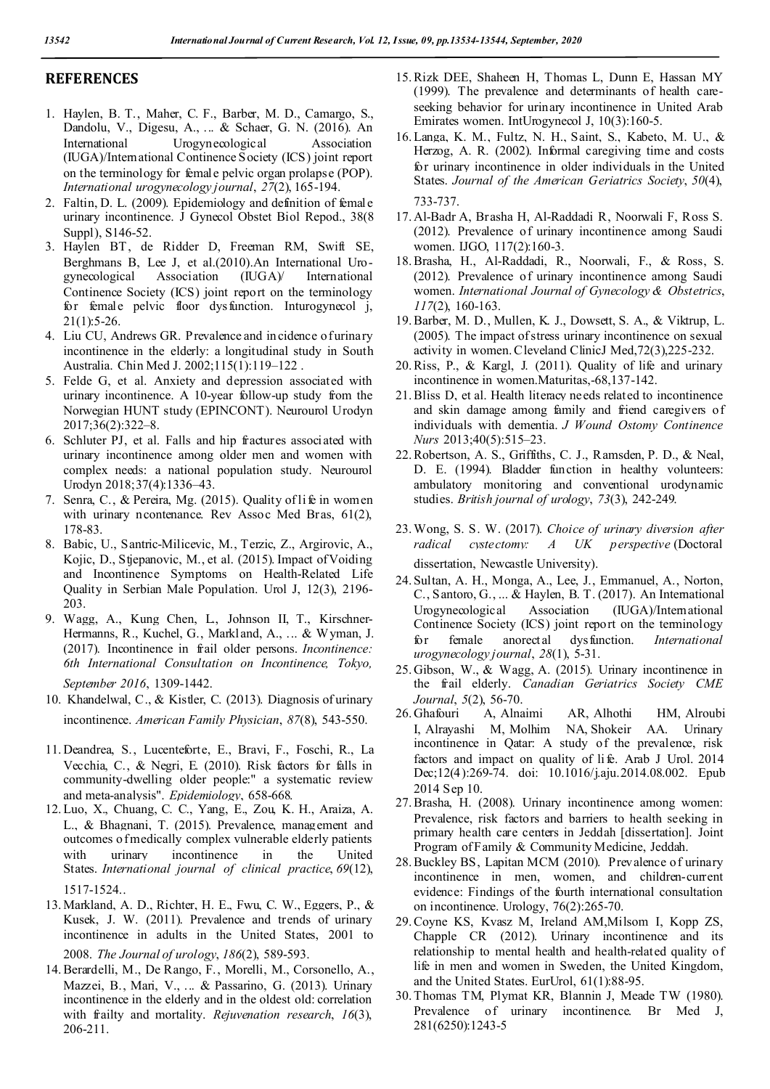## **REFERENCES**

- 1. Haylen, B. T., Maher, C. F., Barber, M. D., Camargo, S., Dandolu, V., Digesu, A., ... & Schaer, G. N. (2016). An International Urogynecological Association (IUGA)/International Continence Society (ICS) joint report on the terminology for female pelvic organ prolapse (POP). *International urogynecology journal*, *27*(2), 165-194.
- 2. Faltin, D. L. (2009). Epidemiology and definition of female urinary incontinence. J Gynecol Obstet Biol Repod., 38(8 Suppl), S146-52.
- 3. Haylen BT, de Ridder D, Freeman RM, Swift SE, Berghmans B, Lee J, et al.(2010).An International Uro-<br>gynecological Association (IUGA) International gynecological Continence Society (ICS) joint report on the terminology for female pelvic floor dysfunction. Inturogynecol j,  $21(1):5-26.$
- 4. Liu CU, Andrews GR. Prevalence and incidence of urinary incontinence in the elderly: a longitudinal study in South Australia. Chin Med J. 2002;115(1):119–122 .
- 5. Felde G, et al. Anxiety and depression associated with urinary incontinence. A 10-year follow-up study from the Norwegian HUNT study (EPINCONT). Neurourol Urodyn 2017;36(2):322–8.
- 6. Schluter PJ, et al. Falls and hip fractures associated with urinary incontinence among older men and women with complex needs: a national population study. Neurourol Urodyn 2018;37(4):1336–43.
- 7. Senra, C., & Pereira, Mg. (2015). Quality of life in women with urinary ncontenance. Rev Assoc Med Bras, 61(2), 178-83.
- 8. Babic, U., Santric-Milicevic, M., Terzic, Z., Argirovic, A., Kojic, D., Stjepanovic, M., et al. (2015). Impact of Voiding and Incontinence Symptoms on Health-Related Life Quality in Serbian Male Population. Urol J, 12(3), 2196- 203.
- 9. Wagg, A., Kung Chen, L., Johnson II, T., Kirschner-Hermanns, R., Kuchel, G., Markland, A., ... & Wyman, J. (2017). Incontinence in frail older persons. *Incontinence: 6th International Consultation on Incontinence, Tokyo, September 2016*, 1309-1442.
- 10. Khandelwal, C., & Kistler, C. (2013). Diagnosis of urinary incontinence. *American Family Physician*, *87*(8), 543-550.
- 11. Deandrea, S., Lucenteforte, E., Bravi, F., Foschi, R., La Vecchia, C., & Negri, E. (2010). Risk factors for falls in community-dwelling older people:" a systematic review and meta-analysis". *Epidemiology*, 658-668.
- 12.Luo, X., Chuang, C. C., Yang, E., Zou, K. H., Araiza, A. L., & Bhagnani, T. (2015). Prevalence, management and outcomes of medically complex vulnerable elderly patients with urinary incontinence in the United States. *International journal of clinical practice*, *69*(12), 1517-1524..
- 13. Markland, A. D., Richter, H. E., Fwu, C. W., Eggers, P., & Kusek, J. W. (2011). Prevalence and trends of urinary incontinence in adults in the United States, 2001 to 2008. *The Journal of urology*, *186*(2), 589-593.
- 14.Berardelli, M., De Rango, F., Morelli, M., Corsonello, A., Mazzei, B., Mari, V., ... & Passarino, G. (2013). Urinary incontinence in the elderly and in the oldest old: correlation with frailty and mortality. *Rejuvenation research*, *16*(3), 206-211.
- 15.Rizk DEE, Shaheen H, Thomas L, Dunn E, Hassan MY (1999). The prevalence and determinants of health careseeking behavior for urinary incontinence in United Arab Emirates women. IntUrogynecol J, 10(3):160-5.
- 16.Langa, K. M., Fultz, N. H., Saint, S., Kabeto, M. U., & Herzog, A. R. (2002). Informal caregiving time and costs for urinary incontinence in older individuals in the United States. *Journal of the American Geriatrics Society*, *50*(4), 733-737.
- 17. Al-Badr A, Brasha H, Al-Raddadi R, Noorwali F, Ross S. (2012). Prevalence of urinary incontinence among Saudi women. IJGO, 117(2):160-3.
- 18.Brasha, H., Al-Raddadi, R., Noorwali, F., & Ross, S. (2012). Prevalence of urinary incontinence among Saudi women. *International Journal of Gynecology & Obstetrics*, *117*(2), 160-163.
- 19.Barber, M. D., Mullen, K. J., Dowsett, S. A., & Viktrup, L. (2005). The impact of stress urinary incontinence on sexual activity in women. Cleveland ClinicJ Med,72(3),225-232.
- 20.Riss, P., & Kargl, J. (2011). Quality of life and urinary incontinence in women.Maturitas,-68,137-142.
- 21.Bliss D, et al. Health literacy needs related to incontinence and skin damage among family and friend caregivers of individuals with dementia. *J Wound Ostomy Continence Nurs* 2013;40(5):515–23.
- 22.Robertson, A. S., Griffiths, C. J., Ramsden, P. D., & Neal, D. E. (1994). Bladder function in healthy volunteers: ambulatory monitoring and conventional urodynamic studies. *British journal of urology*, *73*(3), 242-249.
- 23.Wong, S. S. W. (2017). *Choice of urinary diversion after radical cystectomy: A UK perspective* (Doctoral dissertation, Newcastle University).
- 24. Sultan, A. H., Monga, A., Lee, J., Emmanuel, A., Norton, C., Santoro, G., ... & Haylen, B. T. (2017). An International Urogynecological Association (IUGA)/International Continence Society (ICS) joint report on the terminology for female anorectal dysfunction. *International urogynecology journal*, *28*(1), 5-31.
- 25. Gibson, W., & Wagg, A. (2015). Urinary incontinence in the frail elderly. *Canadian Geriatrics Society CME Journal*, *5*(2), 56-70.
- 26. Ghafouri A, Alnaimi AR, Alhothi HM, Alroubi I, Alrayashi M, Molhim NA, Shokeir AA. Urinary incontinence in Qatar: A study of the prevalence, risk factors and impact on quality of life. Arab J Urol. 2014 Dec;12(4):269-74. doi: 10.1016/j.aju.2014.08.002. Epub 2014 Sep 10.
- 27.Brasha, H. (2008). Urinary incontinence among women: Prevalence, risk factors and barriers to health seeking in primary health care centers in Jeddah [dissertation]. Joint Program of Family & Community Medicine, Jeddah.
- 28.Buckley BS, Lapitan MCM (2010). Prevalence of urinary incontinence in men, women, and children-current evidence: Findings of the fourth international consultation on incontinence. Urology, 76(2):265-70.
- 29.Coyne KS, Kvasz M, Ireland AM,Milsom I, Kopp ZS, Chapple CR (2012). Urinary incontinence and its relationship to mental health and health-related quality of life in men and women in Sweden, the United Kingdom, and the United States. EurUrol, 61(1):88-95.
- 30.Thomas TM, Plymat KR, Blannin J, Meade TW (1980). Prevalence of urinary incontinence. Br Med J, 281(6250):1243-5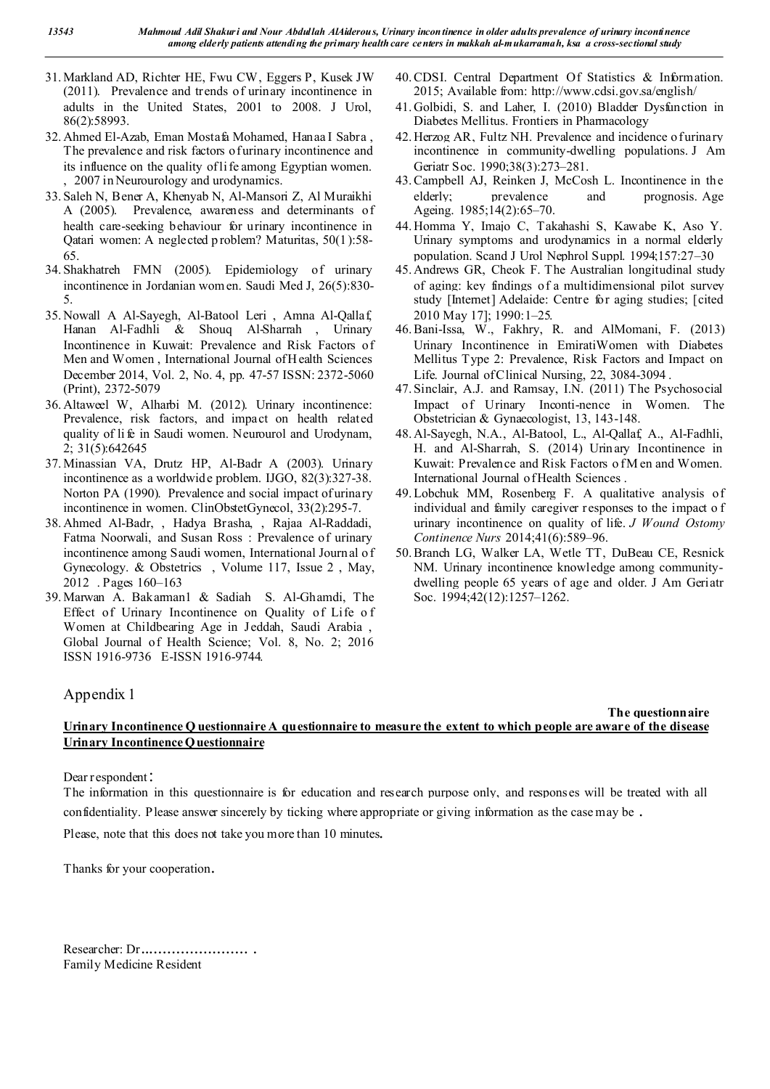- 31. Markland AD, Richter HE, Fwu CW, Eggers P, Kusek JW (2011). Prevalence and trends of urinary incontinence in adults in the United States, 2001 to 2008. J Urol, 86(2):58993.
- 32. Ahmed El-Azab, Eman Mostafa Mohamed, Hanaa I Sabra , The prevalence and risk factors of urinary incontinence and its influence on the quality of life among Egyptian women. , 2007 in Neurourology and urodynamics.
- 33. Saleh N, Bener A, Khenyab N, Al-Mansori Z, Al Muraikhi A (2005). Prevalence, awareness and determinants of health care-seeking behaviour for urinary incontinence in Qatari women: A neglected p roblem? Maturitas, 50(1):58- 65.
- 34. Shakhatreh FMN (2005). Epidemiology of urinary incontinence in Jordanian wom en. Saudi Med J, 26(5):830- 5.
- 35. Nowall A Al-Sayegh, Al-Batool Leri , Amna Al-Qallaf, Hanan Al-Fadhli & Shouq Al-Sharrah , Urinary Incontinence in Kuwait: Prevalence and Risk Factors of Men and Women , International Journal of H ealth Sciences December 2014, Vol. 2, No. 4, pp. 47-57 ISSN: 2372-5060 (Print), 2372-5079
- 36. Altaweel W, Alharbi M. (2012). Urinary incontinence: Prevalence, risk factors, and impact on health related quality of li fe in Saudi women. Neurourol and Urodynam, 2; 31(5):642645
- 37. Minassian VA, Drutz HP, Al-Badr A (2003). Urinary incontinence as a worldwide problem. IJGO, 82(3):327-38. Norton PA (1990). Prevalence and social impact of urinary incontinence in women. ClinObstetGynecol, 33(2):295-7.
- 38. Ahmed Al-Badr, , Hadya Brasha, , Rajaa Al-Raddadi, Fatma Noorwali, and Susan Ross : Prevalence of urinary incontinence among Saudi women, International Journal o f Gynecology. & Obstetrics , Volume 117, Issue 2 , May, 2012 . Pages 160–163
- 39. Marwan A. Bakarman1 & Sadiah S. Al-Ghamdi, The Effect of Urinary Incontinence on Quality of Life o f Women at Childbearing Age in Jeddah, Saudi Arabia , Global Journal of Health Science; Vol. 8, No. 2; 2016 ISSN 1916-9736 E-ISSN 1916-9744.
- 40.CDSI. Central Department Of Statistics & Information. 2015; Available from: http://www.cdsi.gov.sa/english/
- 41. Golbidi, S. and Laher, I. (2010) Bladder Dysfunction in Diabetes Mellitus. Frontiers in Pharmacology
- 42. Herzog AR, Fultz NH. Prevalence and incidence of urinary incontinence in community-dwelling populations. J Am Geriatr Soc. 1990;38(3):273–281.
- 43.Campbell AJ, Reinken J, McCosh L. Incontinence in the elderly; prevalence and prognosis. Age Ageing. 1985;14(2):65–70.
- 44. Homma Y, Imajo C, Takahashi S, Kawabe K, Aso Y. Urinary symptoms and urodynamics in a normal elderly population. Scand J Urol Nephrol Suppl. 1994;157:27–30
- 45. Andrews GR, Cheok F. The Australian longitudinal study of aging: key findings of a multidimensional pilot survey study [Internet] Adelaide: Centre for aging studies; [cited 2010 May 17]; 1990:1–25.
- 46.Bani-Issa, W., Fakhry, R. and AlMomani, F. (2013) Urinary Incontinence in EmiratiWomen with Diabetes Mellitus Type 2: Prevalence, Risk Factors and Impact on Life. Journal of Clinical Nursing, 22, 3084-3094 .
- 47. Sinclair, A.J. and Ramsay, I.N. (2011) The Psychosocial Impact of Urinary Inconti-nence in Women. The Obstetrician & Gynaecologist, 13, 143-148.
- 48. Al-Sayegh, N.A., Al-Batool, L., Al-Qallaf, A., Al-Fadhli, H. and Al-Sharrah, S. (2014) Urinary Incontinence in Kuwait: Prevalence and Risk Factors of M en and Women. International Journal of Health Sciences .
- 49.Lobchuk MM, Rosenberg F. A qualitative analysis of individual and family caregiver responses to the impact o f urinary incontinence on quality of life. *J Wound Ostomy Continence Nurs* 2014;41(6):589–96.
- 50.Branch LG, Walker LA, Wetle TT, DuBeau CE, Resnick NM. Urinary incontinence knowledge among communitydwelling people 65 years of age and older. J Am Geriatr Soc. 1994;42(12):1257–1262.

# Appendix 1

## **The questionnaire Urinary Incontinence Q uestionnaire A questionnaire to measure the extent to which people are aware of the disease Urinary Incontinence Questionnaire**

Dear respondent:

The information in this questionnaire is for education and research purpose only, and responses will be treated with all confidentiality. Please answer sincerely by ticking where appropriate or giving information as the case may be .

Please, note that this does not take you more than 10 minutes.

Thanks for your cooperation.

Researcher: Dr........................ . Family Medicine Resident